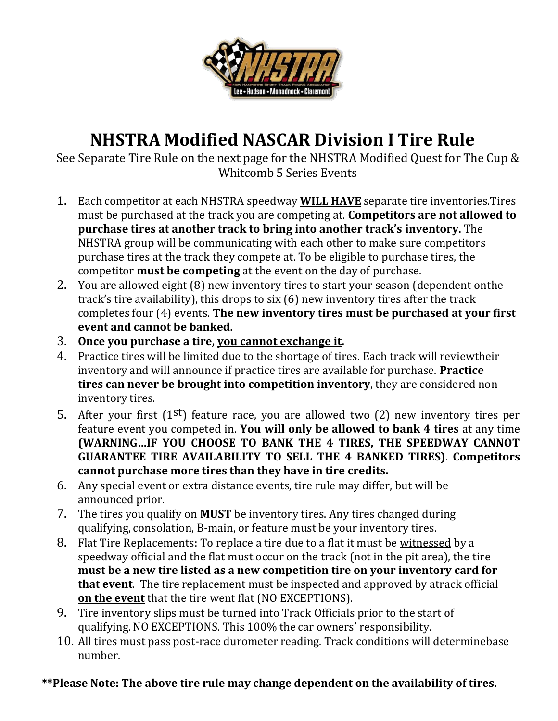

# **NHSTRA Modified NASCAR Division I Tire Rule**

See Separate Tire Rule on the next page for the NHSTRA Modified Quest for The Cup & Whitcomb 5 Series Events

- 1. Each competitor at each NHSTRA speedway **WILL HAVE** separate tire inventories.Tires must be purchased at the track you are competing at. **Competitors are not allowed to purchase tires at another track to bring into another track's inventory.** The NHSTRA group will be communicating with each other to make sure competitors purchase tires at the track they compete at. To be eligible to purchase tires, the competitor **must be competing** at the event on the day of purchase.
- 2. You are allowed eight (8) new inventory tires to start your season (dependent onthe track's tire availability), this drops to six (6) new inventory tires after the track completes four (4) events. **The new inventory tires must be purchased at your first event and cannot be banked.**
- 3. **Once you purchase a tire, you cannot exchange it.**
- 4. Practice tires will be limited due to the shortage of tires. Each track will reviewtheir inventory and will announce if practice tires are available for purchase. **Practice tires can never be brought into competition inventory**, they are considered non inventory tires.
- 5. After your first  $(1^{st})$  feature race, you are allowed two  $(2)$  new inventory tires per feature event you competed in. **You will only be allowed to bank 4 tires** at any time **(WARNING…IF YOU CHOOSE TO BANK THE 4 TIRES, THE SPEEDWAY CANNOT GUARANTEE TIRE AVAILABILITY TO SELL THE 4 BANKED TIRES)**. **Competitors cannot purchase more tires than they have in tire credits.**
- 6. Any special event or extra distance events, tire rule may differ, but will be announced prior.
- 7. The tires you qualify on **MUST** be inventory tires. Any tires changed during qualifying, consolation, B-main, or feature must be your inventory tires.
- 8. Flat Tire Replacements: To replace a tire due to a flat it must be witnessed by a speedway official and the flat must occur on the track (not in the pit area), the tire **must be a new tire listed as a new competition tire on your inventory card for that event**. The tire replacement must be inspected and approved by atrack official **on the event** that the tire went flat (NO EXCEPTIONS).
- 9. Tire inventory slips must be turned into Track Officials prior to the start of qualifying. NO EXCEPTIONS. This 100% the car owners' responsibility.
- 10. All tires must pass post-race durometer reading. Track conditions will determinebase number.

#### **\*\*Please Note: The above tire rule may change dependent on the availability of tires.**